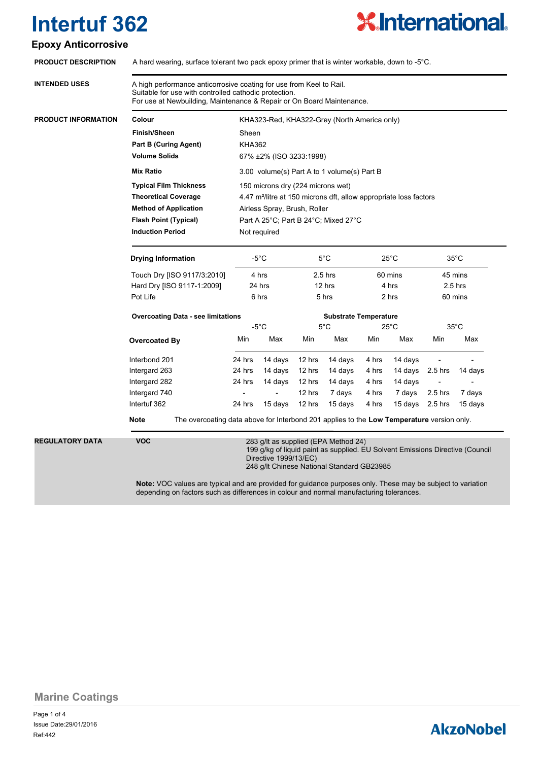

### **Epoxy Anticorrosive**

| <b>PRODUCT DESCRIPTION</b> | A hard wearing, surface tolerant two pack epoxy primer that is winter workable, down to -5 $^{\circ}$ C.                                                                                                      |                                                                                                                                                                                              |         |                                |                                              |                |                                                   |                |         |  |
|----------------------------|---------------------------------------------------------------------------------------------------------------------------------------------------------------------------------------------------------------|----------------------------------------------------------------------------------------------------------------------------------------------------------------------------------------------|---------|--------------------------------|----------------------------------------------|----------------|---------------------------------------------------|----------------|---------|--|
| <b>INTENDED USES</b>       | A high performance anticorrosive coating for use from Keel to Rail.<br>Suitable for use with controlled cathodic protection.<br>For use at Newbuilding, Maintenance & Repair or On Board Maintenance.         |                                                                                                                                                                                              |         |                                |                                              |                |                                                   |                |         |  |
| PRODUCT INFORMATION        | Colour                                                                                                                                                                                                        |                                                                                                                                                                                              |         |                                | KHA323-Red, KHA322-Grey (North America only) |                |                                                   |                |         |  |
|                            | <b>Finish/Sheen</b>                                                                                                                                                                                           | Sheen                                                                                                                                                                                        |         |                                |                                              |                |                                                   |                |         |  |
|                            | <b>Part B (Curing Agent)</b>                                                                                                                                                                                  | <b>KHA362</b>                                                                                                                                                                                |         |                                |                                              |                |                                                   |                |         |  |
|                            | <b>Volume Solids</b><br>67% ±2% (ISO 3233:1998)                                                                                                                                                               |                                                                                                                                                                                              |         |                                |                                              |                |                                                   |                |         |  |
|                            | <b>Mix Ratio</b>                                                                                                                                                                                              | 3.00 volume(s) Part A to 1 volume(s) Part B                                                                                                                                                  |         |                                |                                              |                |                                                   |                |         |  |
|                            | <b>Typical Film Thickness</b>                                                                                                                                                                                 | 150 microns dry (224 microns wet)                                                                                                                                                            |         |                                |                                              |                |                                                   |                |         |  |
|                            | <b>Theoretical Coverage</b>                                                                                                                                                                                   | 4.47 m <sup>2</sup> /litre at 150 microns dft, allow appropriate loss factors                                                                                                                |         |                                |                                              |                |                                                   |                |         |  |
|                            | <b>Method of Application</b>                                                                                                                                                                                  | Airless Spray, Brush, Roller                                                                                                                                                                 |         |                                |                                              |                |                                                   |                |         |  |
|                            | <b>Flash Point (Typical)</b>                                                                                                                                                                                  | Part A 25°C; Part B 24°C; Mixed 27°C                                                                                                                                                         |         |                                |                                              |                |                                                   |                |         |  |
|                            | <b>Induction Period</b>                                                                                                                                                                                       | Not required                                                                                                                                                                                 |         |                                |                                              |                |                                                   |                |         |  |
|                            | <b>Drying Information</b>                                                                                                                                                                                     | -5°C<br>$5^{\circ}$ C<br>4 hrs<br>24 hrs<br>6 hrs<br>$-5^{\circ}$ C                                                                                                                          |         |                                | $25^{\circ}$ C<br>60 mins<br>4 hrs<br>2 hrs  |                | $35^{\circ}$ C<br>45 mins<br>$2.5$ hrs<br>60 mins |                |         |  |
|                            | Touch Dry [ISO 9117/3:2010]                                                                                                                                                                                   |                                                                                                                                                                                              |         | $2.5$ hrs<br>12 hrs<br>$5$ hrs |                                              |                |                                                   |                |         |  |
|                            | Hard Dry [ISO 9117-1:2009]                                                                                                                                                                                    |                                                                                                                                                                                              |         |                                |                                              |                |                                                   |                |         |  |
|                            | Pot Life                                                                                                                                                                                                      |                                                                                                                                                                                              |         |                                |                                              |                |                                                   |                |         |  |
|                            | <b>Overcoating Data - see limitations</b>                                                                                                                                                                     |                                                                                                                                                                                              |         | <b>Substrate Temperature</b>   |                                              |                |                                                   |                |         |  |
|                            |                                                                                                                                                                                                               |                                                                                                                                                                                              |         | $5^{\circ}$ C                  |                                              | $25^{\circ}$ C |                                                   | $35^{\circ}$ C |         |  |
|                            | <b>Overcoated By</b>                                                                                                                                                                                          | Min                                                                                                                                                                                          | Max     | Min                            | Max                                          | Min            | Max                                               | Min            | Max     |  |
|                            | Interbond 201                                                                                                                                                                                                 | 24 hrs                                                                                                                                                                                       | 14 days | 12 hrs                         | 14 days                                      | 4 hrs          | 14 days                                           |                |         |  |
|                            | Intergard 263                                                                                                                                                                                                 | 24 hrs                                                                                                                                                                                       | 14 days | 12 hrs                         | 14 days                                      | 4 hrs          | 14 days                                           | 2.5 hrs        | 14 days |  |
|                            | Intergard 282                                                                                                                                                                                                 | 24 hrs                                                                                                                                                                                       | 14 days | 12 hrs                         | 14 days                                      | 4 hrs          | 14 days                                           |                |         |  |
|                            | Intergard 740                                                                                                                                                                                                 |                                                                                                                                                                                              |         | 12 hrs                         | 7 days                                       | 4 hrs          | 7 days                                            | 2.5 hrs        | 7 days  |  |
|                            | Intertuf 362<br>The overcoating data above for Interbond 201 applies to the Low Temperature version only.<br>Note                                                                                             | 24 hrs                                                                                                                                                                                       | 15 days | 12 hrs                         | 15 days                                      | 4 hrs          | 15 days                                           | 2.5 hrs        | 15 days |  |
|                            |                                                                                                                                                                                                               |                                                                                                                                                                                              |         |                                |                                              |                |                                                   |                |         |  |
| <b>REGULATORY DATA</b>     | <b>VOC</b>                                                                                                                                                                                                    | 283 g/lt as supplied (EPA Method 24)<br>199 g/kg of liquid paint as supplied. EU Solvent Emissions Directive (Council<br>Directive 1999/13/EC)<br>248 g/lt Chinese National Standard GB23985 |         |                                |                                              |                |                                                   |                |         |  |
|                            | <b>Note:</b> VOC values are typical and are provided for guidance purposes only. These may be subject to variation<br>depending on factors such as differences in colour and normal manufacturing tolerances. |                                                                                                                                                                                              |         |                                |                                              |                |                                                   |                |         |  |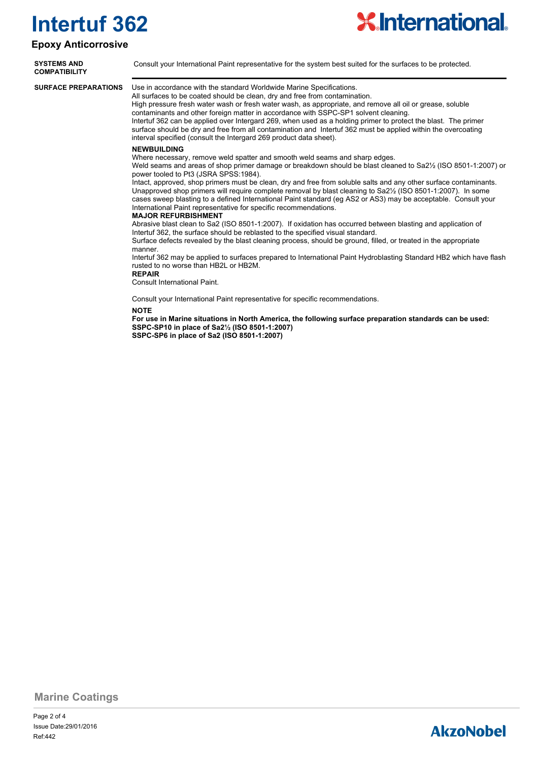#### **Epoxy Anticorrosive**



**SYSTEMS AND** Consult your International Paint representative for the system best suited for the surfaces to be protected. **COMPATIBILITY**

**SURFACE PREPARATIONS**

Use in accordance with the standard Worldwide Marine Specifications.

All surfaces to be coated should be clean, dry and free from contamination. High pressure fresh water wash or fresh water wash, as appropriate, and remove all oil or grease, soluble contaminants and other foreign matter in accordance with SSPC-SP1 solvent cleaning. Intertuf 362 can be applied over Intergard 269, when used as a holding primer to protect the blast. The primer surface should be dry and free from all contamination and Intertuf 362 must be applied within the overcoating interval specified (consult the Intergard 269 product data sheet).

#### **NEWBUILDING**

Where necessary, remove weld spatter and smooth weld seams and sharp edges.

Weld seams and areas of shop primer damage or breakdown should be blast cleaned to Sa2½ (ISO 8501-1:2007) or power tooled to Pt3 (JSRA SPSS:1984).

Intact, approved, shop primers must be clean, dry and free from soluble salts and any other surface contaminants. Unapproved shop primers will require complete removal by blast cleaning to Sa2½ (ISO 8501-1:2007). In some cases sweep blasting to a defined International Paint standard (eg AS2 or AS3) may be acceptable. Consult your International Paint representative for specific recommendations.

#### **MAJOR REFURBISHMENT**

Abrasive blast clean to Sa2 (ISO 8501-1:2007). If oxidation has occurred between blasting and application of Intertuf 362, the surface should be reblasted to the specified visual standard.

Surface defects revealed by the blast cleaning process, should be ground, filled, or treated in the appropriate manner

Intertuf 362 may be applied to surfaces prepared to International Paint Hydroblasting Standard HB2 which have flash rusted to no worse than HB2L or HB2M.

**REPAIR**

Consult International Paint.

Consult your International Paint representative for specific recommendations.

#### **NOTE**

**For use in Marine situations in North America, the following surface preparation standards can be used: SSPC-SP10 in place of Sa2½ (ISO 8501-1:2007)**

**SSPC-SP6 in place of Sa2 (ISO 8501-1:2007)**

**Marine Coatings**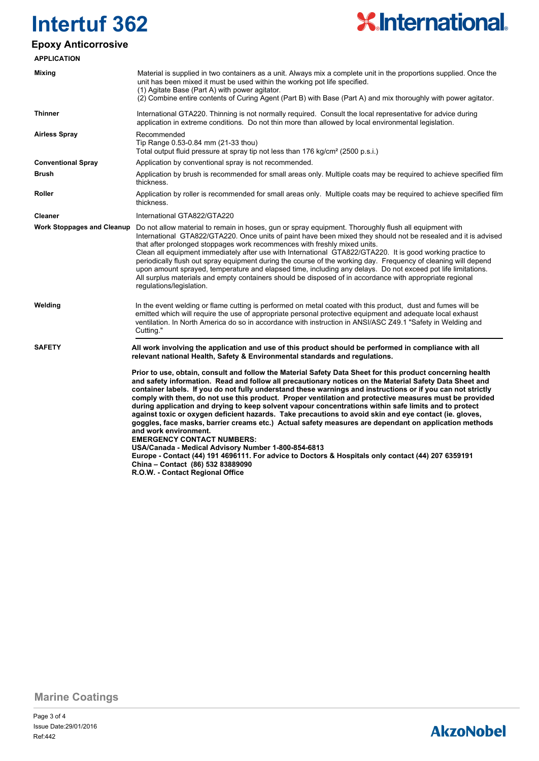

### **Epoxy Anticorrosive**

| <b>APPLICATION</b>                |                                                                                                                                                                                                                                                                                                                                                                                                                                                                                                                                                                                                                                                                                                                                                                                                                                                                                                                                                                                                                                                                                |  |  |  |  |
|-----------------------------------|--------------------------------------------------------------------------------------------------------------------------------------------------------------------------------------------------------------------------------------------------------------------------------------------------------------------------------------------------------------------------------------------------------------------------------------------------------------------------------------------------------------------------------------------------------------------------------------------------------------------------------------------------------------------------------------------------------------------------------------------------------------------------------------------------------------------------------------------------------------------------------------------------------------------------------------------------------------------------------------------------------------------------------------------------------------------------------|--|--|--|--|
| Mixing                            | Material is supplied in two containers as a unit. Always mix a complete unit in the proportions supplied. Once the<br>unit has been mixed it must be used within the working pot life specified.<br>(1) Agitate Base (Part A) with power agitator.<br>(2) Combine entire contents of Curing Agent (Part B) with Base (Part A) and mix thoroughly with power agitator.                                                                                                                                                                                                                                                                                                                                                                                                                                                                                                                                                                                                                                                                                                          |  |  |  |  |
| <b>Thinner</b>                    | International GTA220. Thinning is not normally required. Consult the local representative for advice during<br>application in extreme conditions. Do not thin more than allowed by local environmental legislation.                                                                                                                                                                                                                                                                                                                                                                                                                                                                                                                                                                                                                                                                                                                                                                                                                                                            |  |  |  |  |
| <b>Airless Spray</b>              | Recommended<br>Tip Range 0.53-0.84 mm (21-33 thou)<br>Total output fluid pressure at spray tip not less than 176 kg/cm <sup>2</sup> (2500 p.s.i.)                                                                                                                                                                                                                                                                                                                                                                                                                                                                                                                                                                                                                                                                                                                                                                                                                                                                                                                              |  |  |  |  |
| <b>Conventional Spray</b>         | Application by conventional spray is not recommended.                                                                                                                                                                                                                                                                                                                                                                                                                                                                                                                                                                                                                                                                                                                                                                                                                                                                                                                                                                                                                          |  |  |  |  |
| <b>Brush</b>                      | Application by brush is recommended for small areas only. Multiple coats may be required to achieve specified film<br>thickness.                                                                                                                                                                                                                                                                                                                                                                                                                                                                                                                                                                                                                                                                                                                                                                                                                                                                                                                                               |  |  |  |  |
| Roller                            | Application by roller is recommended for small areas only. Multiple coats may be required to achieve specified film<br>thickness.                                                                                                                                                                                                                                                                                                                                                                                                                                                                                                                                                                                                                                                                                                                                                                                                                                                                                                                                              |  |  |  |  |
| <b>Cleaner</b>                    | International GTA822/GTA220                                                                                                                                                                                                                                                                                                                                                                                                                                                                                                                                                                                                                                                                                                                                                                                                                                                                                                                                                                                                                                                    |  |  |  |  |
| <b>Work Stoppages and Cleanup</b> | Do not allow material to remain in hoses, gun or spray equipment. Thoroughly flush all equipment with<br>International GTA822/GTA220. Once units of paint have been mixed they should not be resealed and it is advised<br>that after prolonged stoppages work recommences with freshly mixed units.<br>Clean all equipment immediately after use with International GTA822/GTA220. It is good working practice to<br>periodically flush out spray equipment during the course of the working day. Frequency of cleaning will depend<br>upon amount sprayed, temperature and elapsed time, including any delays. Do not exceed pot life limitations.<br>All surplus materials and empty containers should be disposed of in accordance with appropriate regional<br>regulations/legislation.                                                                                                                                                                                                                                                                                   |  |  |  |  |
| Welding                           | In the event welding or flame cutting is performed on metal coated with this product, dust and fumes will be<br>emitted which will require the use of appropriate personal protective equipment and adequate local exhaust<br>ventilation. In North America do so in accordance with instruction in ANSI/ASC Z49.1 "Safety in Welding and<br>Cutting."                                                                                                                                                                                                                                                                                                                                                                                                                                                                                                                                                                                                                                                                                                                         |  |  |  |  |
| <b>SAFETY</b>                     | All work involving the application and use of this product should be performed in compliance with all<br>relevant national Health, Safety & Environmental standards and regulations.                                                                                                                                                                                                                                                                                                                                                                                                                                                                                                                                                                                                                                                                                                                                                                                                                                                                                           |  |  |  |  |
|                                   | Prior to use, obtain, consult and follow the Material Safety Data Sheet for this product concerning health<br>and safety information. Read and follow all precautionary notices on the Material Safety Data Sheet and<br>container labels. If you do not fully understand these warnings and instructions or if you can not strictly<br>comply with them, do not use this product. Proper ventilation and protective measures must be provided<br>during application and drying to keep solvent vapour concentrations within safe limits and to protect<br>against toxic or oxygen deficient hazards. Take precautions to avoid skin and eye contact (ie. gloves,<br>goggles, face masks, barrier creams etc.) Actual safety measures are dependant on application methods<br>and work environment.<br><b>EMERGENCY CONTACT NUMBERS:</b><br>USA/Canada - Medical Advisory Number 1-800-854-6813<br>Europe - Contact (44) 191 4696111. For advice to Doctors & Hospitals only contact (44) 207 6359191<br>China - Contact (86) 532 83889090<br>R.O.W. - Contact Regional Office |  |  |  |  |

**Marine Coatings**